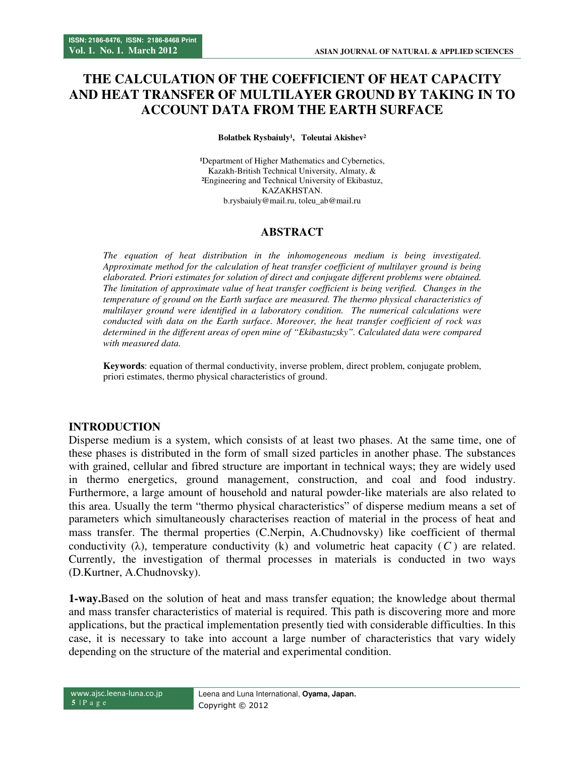# **THE CALCULATION OF THE COEFFICIENT OF HEAT CAPACITY AND HEAT TRANSFER OF MULTILAYER GROUND BY TAKING IN TO ACCOUNT DATA FROM THE EARTH SURFACE**

Bolatbek Rysbaiuly<sup>1</sup>, Toleutai Akishev<sup>2</sup>

<sup>1</sup>Department of Higher Mathematics and Cybernetics, Kazakh-British Technical University, Almaty, & **²**Engineering and Technical University of Ekibastuz, KAZAKHSTAN. b.rysbaiuly@mail.ru, toleu\_ab@mail.ru

#### **ABSTRACT**

*The equation of heat distribution in the inhomogeneous medium is being investigated. Approximate method for the calculation of heat transfer coefficient of multilayer ground is being elaborated. Priori estimates for solution of direct and conjugate different problems were obtained. The limitation of approximate value of heat transfer coefficient is being verified. Changes in the temperature of ground on the Earth surface are measured. The thermo physical characteristics of multilayer ground were identified in a laboratory condition. The numerical calculations were conducted with data on the Earth surface. Moreover, the heat transfer coefficient of rock was determined in the different areas of open mine of "Ekibastuzsky". Calculated data were compared with measured data.* 

**Keywords**: equation of thermal conductivity, inverse problem, direct problem, conjugate problem, priori estimates, thermo physical characteristics of ground.

#### **INTRODUCTION**

Disperse medium is a system, which consists of at least two phases. At the same time, one of these phases is distributed in the form of small sized particles in another phase. The substances with grained, cellular and fibred structure are important in technical ways; they are widely used in thermo energetics, ground management, construction, and coal and food industry. Furthermore, a large amount of household and natural powder-like materials are also related to this area. Usually the term "thermo physical characteristics" of disperse medium means a set of parameters which simultaneously characterises reaction of material in the process of heat and mass transfer. The thermal properties (C.Nerpin, A.Chudnovsky) like coefficient of thermal conductivity ( $\lambda$ ), temperature conductivity ( $k$ ) and volumetric heat capacity ( $C$ ) are related. Currently, the investigation of thermal processes in materials is conducted in two ways (D.Kurtner, A.Chudnovsky).

**1-way.**Based on the solution of heat and mass transfer equation; the knowledge about thermal and mass transfer characteristics of material is required. This path is discovering more and more applications, but the practical implementation presently tied with considerable difficulties. In this case, it is necessary to take into account a large number of characteristics that vary widely depending on the structure of the material and experimental condition.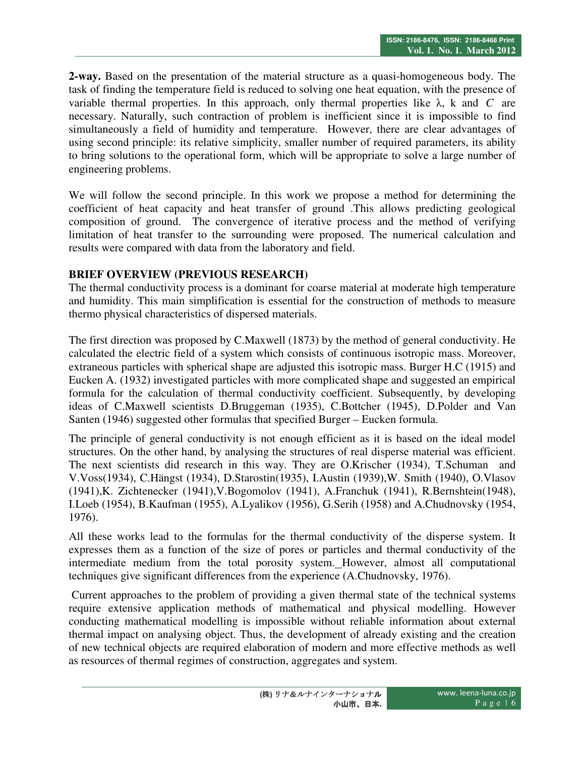**2-way.** Based on the presentation of the material structure as a quasi-homogeneous body. The task of finding the temperature field is reduced to solving one heat equation, with the presence of variable thermal properties. In this approach, only thermal properties like  $\lambda$ , k and *C* are necessary. Naturally, such contraction of problem is inefficient since it is impossible to find simultaneously a field of humidity and temperature. However, there are clear advantages of using second principle: its relative simplicity, smaller number of required parameters, its ability to bring solutions to the operational form, which will be appropriate to solve a large number of engineering problems.

We will follow the second principle. In this work we propose a method for determining the coefficient of heat capacity and heat transfer of ground .This allows predicting geological composition of ground. The convergence of iterative process and the method of verifying limitation of heat transfer to the surrounding were proposed. The numerical calculation and results were compared with data from the laboratory and field.

## **BRIEF OVERVIEW (PREVIOUS RESEARCH)**

The thermal conductivity process is a dominant for coarse material at moderate high temperature and humidity. This main simplification is essential for the construction of methods to measure thermo physical characteristics of dispersed materials.

The first direction was proposed by C.Maxwell (1873) by the method of general conductivity. He calculated the electric field of a system which consists of continuous isotropic mass. Moreover, extraneous particles with spherical shape are adjusted this isotropic mass. Burger H.C (1915) and Eucken A. (1932) investigated particles with more complicated shape and suggested an empirical formula for the calculation of thermal conductivity coefficient. Subsequently, by developing ideas of C.Maxwell scientists D.Bruggeman (1935), C.Bottcher (1945), D.Polder and Van Santen (1946) suggested other formulas that specified Burger – Eucken formula.

The principle of general conductivity is not enough efficient as it is based on the ideal model structures. On the other hand, by analysing the structures of real disperse material was efficient. The next scientists did research in this way. They are O.Krischer (1934), T.Schuman and V.Voss(1934), C.Hängst (1934), D.Starostin(1935), I.Austin (1939),W. Smith (1940), O.Vlasov (1941),K. Zichtenecker (1941),V.Bogomolov (1941), A.Franchuk (1941), R.Bernshtein(1948), I.Loeb (1954), B.Kaufman (1955), A.Lyalikov (1956), G.Serih (1958) and A.Chudnovsky (1954, 1976).

All these works lead to the formulas for the thermal conductivity of the disperse system. It expresses them as a function of the size of pores or particles and thermal conductivity of the intermediate medium from the total porosity system. However, almost all computational techniques give significant differences from the experience (A.Chudnovsky, 1976).

 Current approaches to the problem of providing a given thermal state of the technical systems require extensive application methods of mathematical and physical modelling. However conducting mathematical modelling is impossible without reliable information about external thermal impact on analysing object. Thus, the development of already existing and the creation of new technical objects are required elaboration of modern and more effective methods as well as resources of thermal regimes of construction, aggregates and system.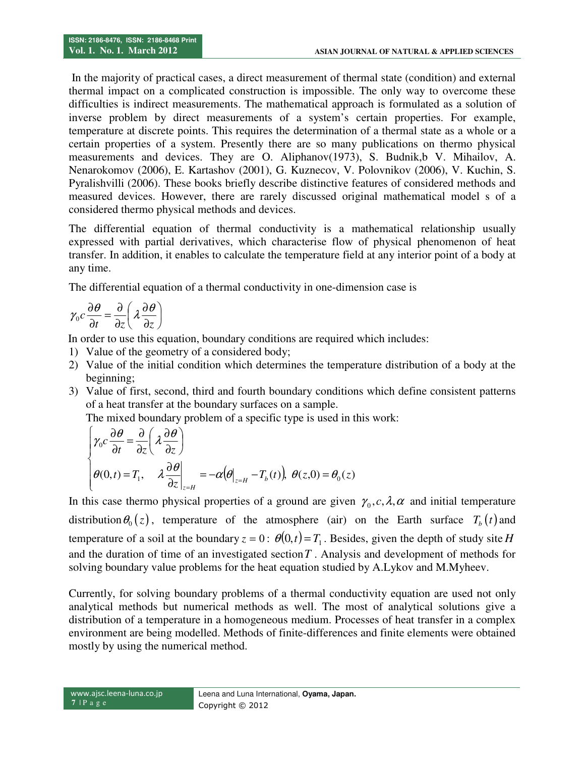In the majority of practical cases, a direct measurement of thermal state (condition) and external thermal impact on a complicated construction is impossible. The only way to overcome these difficulties is indirect measurements. The mathematical approach is formulated as a solution of inverse problem by direct measurements of a system's certain properties. For example, temperature at discrete points. This requires the determination of a thermal state as a whole or a certain properties of a system. Presently there are so many publications on thermo physical measurements and devices. They are O. Aliphanov(1973), S. Budnik,b V. Mihailov, A. Nenarokomov (2006), E. Kartashov (2001), G. Kuznecov, V. Polovnikov (2006), V. Kuchin, S. Pyralishvilli (2006). These books briefly describe distinctive features of considered methods and measured devices. However, there are rarely discussed original mathematical model s of a considered thermo physical methods and devices.

The differential equation of thermal conductivity is a mathematical relationship usually expressed with partial derivatives, which characterise flow of physical phenomenon of heat transfer. In addition, it enables to calculate the temperature field at any interior point of a body at any time.

The differential equation of a thermal conductivity in one-dimension case is

$$
\gamma_0 c \frac{\partial \theta}{\partial t} = \frac{\partial}{\partial z} \left( \lambda \frac{\partial \theta}{\partial z} \right)
$$

In order to use this equation, boundary conditions are required which includes:

- 1) Value of the geometry of a considered body;
- 2) Value of the initial condition which determines the temperature distribution of a body at the beginning;
- 3) Value of first, second, third and fourth boundary conditions which define consistent patterns of a heat transfer at the boundary surfaces on a sample.

The mixed boundary problem of a specific type is used in this work:

$$
\begin{cases}\n\gamma_0 c \frac{\partial \theta}{\partial t} = \frac{\partial}{\partial z} \left( \lambda \frac{\partial \theta}{\partial z} \right) \\
\theta(0, t) = T_1, \quad \lambda \frac{\partial \theta}{\partial z} \Big|_{z = H} = -\alpha \left( \theta \Big|_{z = H} - T_b(t) \right), \ \theta(z, 0) = \theta_0(z)\n\end{cases}
$$

In this case thermo physical properties of a ground are given  $\gamma_0$ ,  $c, \lambda, \alpha$  and initial temperature distribution  $\theta_0(z)$ , temperature of the atmosphere (air) on the Earth surface  $T_b(t)$  and temperature of a soil at the boundary  $z = 0$ :  $\theta(0, t) = T_1$ . Besides, given the depth of study site *H* and the duration of time of an investigated section*T* . Analysis and development of methods for solving boundary value problems for the heat equation studied by A.Lykov and M.Myheev.

Currently, for solving boundary problems of a thermal conductivity equation are used not only analytical methods but numerical methods as well. The most of analytical solutions give a distribution of a temperature in a homogeneous medium. Processes of heat transfer in a complex environment are being modelled. Methods of finite-differences and finite elements were obtained mostly by using the numerical method.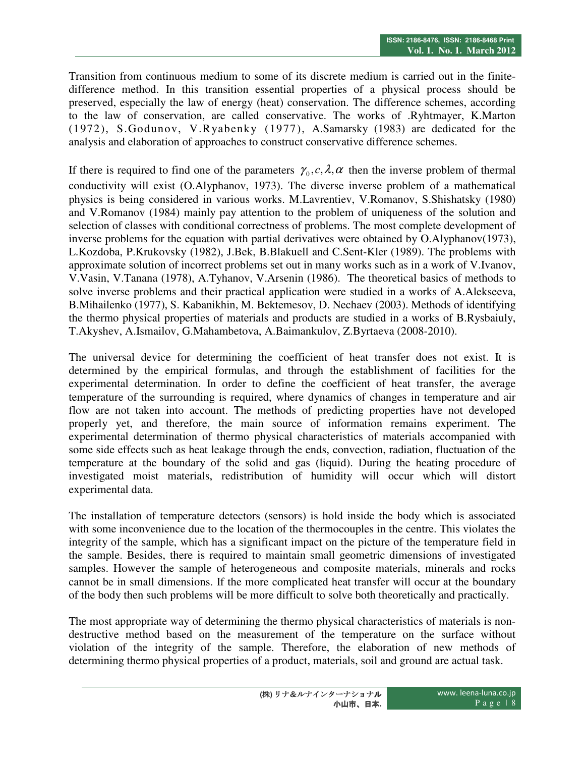Transition from continuous medium to some of its discrete medium is carried out in the finitedifference method. In this transition essential properties of a physical process should be preserved, especially the law of energy (heat) conservation. The difference schemes, according to the law of conservation, are called conservative. The works of .Ryhtmayer, K.Marton (1972), S.Godunov, V.Ryabenky (1977), А.Samarsky (1983) are dedicated for the analysis and elaboration of approaches to construct conservative difference schemes.

If there is required to find one of the parameters  $\gamma_0, c, \lambda, \alpha$  then the inverse problem of thermal conductivity will exist (O.Alyphanov, 1973). The diverse inverse problem of a mathematical physics is being considered in various works. M.Lavrentiev, V.Romanov, S.Shishatsky (1980) and V.Romanov (1984) mainly pay attention to the problem of uniqueness of the solution and selection of classes with conditional correctness of problems. The most complete development of inverse problems for the equation with partial derivatives were obtained by O.Alyphanov(1973), L.Kozdoba, P.Krukovsky (1982), J.Bek, B.Blakuell and C.Sent-Kler (1989). The problems with approximate solution of incorrect problems set out in many works such as in a work of V.Ivanov, V.Vasin, V.Tanana (1978), A.Tyhanov, V.Arsenin (1986). The theoretical basics of methods to solve inverse problems and their practical application were studied in a works of A.Alekseeva, B.Mihailenko (1977), S. Kabanikhin, M. Bektemesov, D. Nechaev (2003). Methods of identifying the thermo physical properties of materials and products are studied in a works of B.Rysbaiuly, T.Akyshev, A.Ismailov, G.Mahambetova, A.Baimankulov, Z.Byrtaeva (2008-2010).

The universal device for determining the coefficient of heat transfer does not exist. It is determined by the empirical formulas, and through the establishment of facilities for the experimental determination. In order to define the coefficient of heat transfer, the average temperature of the surrounding is required, where dynamics of changes in temperature and air flow are not taken into account. The methods of predicting properties have not developed properly yet, and therefore, the main source of information remains experiment. The experimental determination of thermo physical characteristics of materials accompanied with some side effects such as heat leakage through the ends, convection, radiation, fluctuation of the temperature at the boundary of the solid and gas (liquid). During the heating procedure of investigated moist materials, redistribution of humidity will occur which will distort experimental data.

The installation of temperature detectors (sensors) is hold inside the body which is associated with some inconvenience due to the location of the thermocouples in the centre. This violates the integrity of the sample, which has a significant impact on the picture of the temperature field in the sample. Besides, there is required to maintain small geometric dimensions of investigated samples. However the sample of heterogeneous and composite materials, minerals and rocks cannot be in small dimensions. If the more complicated heat transfer will occur at the boundary of the body then such problems will be more difficult to solve both theoretically and practically.

The most appropriate way of determining the thermo physical characteristics of materials is nondestructive method based on the measurement of the temperature on the surface without violation of the integrity of the sample. Therefore, the elaboration of new methods of determining thermo physical properties of a product, materials, soil and ground are actual task.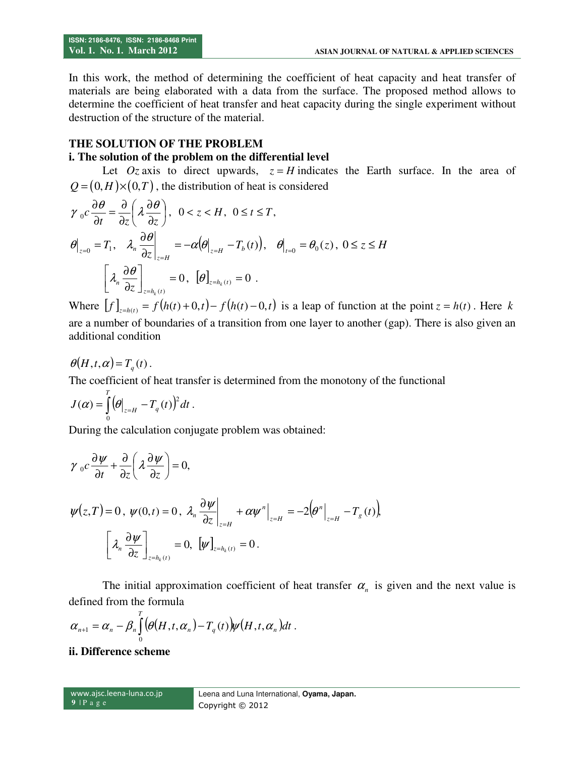In this work, the method of determining the coefficient of heat capacity and heat transfer of materials are being elaborated with a data from the surface. The proposed method allows to determine the coefficient of heat transfer and heat capacity during the single experiment without destruction of the structure of the material.

## **THE SOLUTION OF THE PROBLEM**

#### **i. The solution of the problem on the differential level**

Let  $Oz$  axis to direct upwards,  $z = H$  indicates the Earth surface. In the area of  $Q = (0, H) \times (0, T)$ , the distribution of heat is considered

$$
\gamma_0 c \frac{\partial \theta}{\partial t} = \frac{\partial}{\partial z} \left( \lambda \frac{\partial \theta}{\partial z} \right), \quad 0 < z < H, \quad 0 \le t \le T,
$$
\n
$$
\theta \Big|_{z=0} = T_1, \quad \lambda_n \frac{\partial \theta}{\partial z} \Big|_{z=H} = -\alpha \left( \theta \Big|_{z=H} - T_b(t) \right), \quad \theta \Big|_{t=0} = \theta_0(z), \quad 0 \le z \le H
$$
\n
$$
\left[ \lambda_n \frac{\partial \theta}{\partial z} \right]_{z=h_k(t)} = 0, \quad \left[ \theta \right]_{z=h_k(t)} = 0.
$$

Where  $[f]_{z=h(t)} = f(h(t)+0,t) - f(h(t)-0,t)$  is a leap of function at the point  $z = h(t)$ . Here k are a number of boundaries of a transition from one layer to another (gap). There is also given an additional condition

$$
\theta(H,t,\alpha) = T_q(t).
$$

The coefficient of heat transfer is determined from the monotony of the functional

$$
J(\alpha) = \int\limits_0^T \bigl(\theta\bigl|_{z=H} - T_q(t)\bigr)^2 dt.
$$

During the calculation conjugate problem was obtained:

$$
\gamma_0 c \frac{\partial \psi}{\partial t} + \frac{\partial}{\partial z} \left( \lambda \frac{\partial \psi}{\partial z} \right) = 0,
$$
  

$$
\psi(z, T) = 0, \ \psi(0, t) = 0, \ \lambda_n \frac{\partial \psi}{\partial z} \bigg|_{z = H} + \alpha \psi^n \bigg|_{z = H} = -2 \Big( \theta^n \bigg|_{z = H} - T_g(t) \Big),
$$
  

$$
\left[ \lambda_n \frac{\partial \psi}{\partial z} \right]_{z = h_k(t)} = 0, \ \left[ \psi \right]_{z = h_k(t)} = 0.
$$

The initial approximation coefficient of heat transfer  $\alpha_n$  is given and the next value is defined from the formula

$$
\alpha_{n+1} = \alpha_n - \beta_n \int_0^T \biggl( \theta(H,t,\alpha_n) - T_q(t) \biggr) \psi(H,t,\alpha_n) dt \; .
$$

**ii. Difference scheme**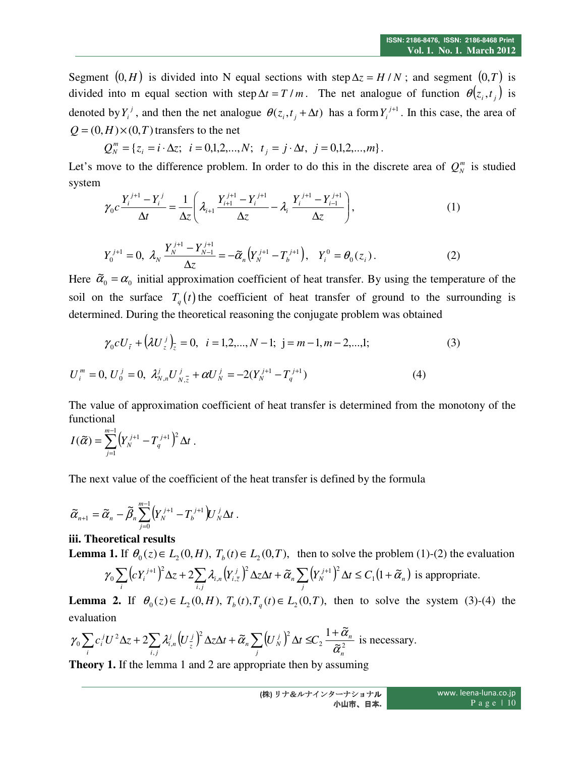Segment  $(0, H)$  is divided into N equal sections with step  $\Delta z = H/N$ ; and segment  $(0, T)$  is divided into m equal section with step  $\Delta t = T / m$ . The net analogue of function  $\theta(z_i, t_i)$  is denoted by  $Y_i^j$ , and then the net analogue  $\theta(z_i, t_j + \Delta t)$  has a form  $Y_i^{j+1}$ . In this case, the area of  $Q = (0, H) \times (0, T)$  transfers to the net

$$
Q_N^m = \{ z_i = i \cdot \Delta z; \ i = 0, 1, 2, ..., N; \ t_j = j \cdot \Delta t, \ j = 0, 1, 2, ..., m \}.
$$

Let's move to the difference problem. In order to do this in the discrete area of  $Q_N^m$  is studied system

$$
\gamma_0 c \frac{Y_i^{j+1} - Y_i^j}{\Delta t} = \frac{1}{\Delta z} \left( \lambda_{i+1} \frac{Y_{i+1}^{j+1} - Y_i^{j+1}}{\Delta z} - \lambda_i \frac{Y_i^{j+1} - Y_{i-1}^{j+1}}{\Delta z} \right),\tag{1}
$$

$$
Y_0^{j+1} = 0, \ \lambda_N \, \frac{Y_N^{j+1} - Y_{N-1}^{j+1}}{\Delta z} = -\tilde{\alpha}_n \big( Y_N^{j+1} - T_b^{j+1} \big), \quad Y_i^0 = \theta_0(z_i) \,.
$$

Here  $\tilde{\alpha}_0 = \alpha_0$  initial approximation coefficient of heat transfer. By using the temperature of the soil on the surface  $T_q(t)$  the coefficient of heat transfer of ground to the surrounding is determined. During the theoretical reasoning the conjugate problem was obtained

$$
\gamma_0 c U_{\bar{i}} + \left(\lambda U_{\bar{z}}^j\right)_{\bar{z}} = 0, \quad i = 1, 2, \dots, N - 1; \quad j = m - 1, m - 2, \dots, 1; \tag{3}
$$

$$
U_i^m = 0, U_0^j = 0, \ \lambda_{N,n}^j U_{N,\bar{z}}^j + \alpha U_N^j = -2(Y_N^{j+1} - T_q^{j+1}) \tag{4}
$$

The value of approximation coefficient of heat transfer is determined from the monotony of the functional

$$
I(\widetilde{\alpha})=\sum_{j=1}^{m-1}\bigl(Y_{N}^{j+1}-T_{q}^{j+1}\bigr)^{2}\Delta t\ .
$$

The next value of the coefficient of the heat transfer is defined by the formula

$$
\widetilde{\alpha}_{n+1} = \widetilde{\alpha}_n - \widetilde{\beta}_n \sum_{j=0}^{m-1} \left(Y_N^{j+1} - T_b^{j+1}\right) U_N^j \Delta t.
$$

#### **iii. Theoretical results**

**Lemma 1.** If  $\theta_0(z) \in L_2(0, H)$ ,  $T_b(t) \in L_2(0, T)$ , then to solve the problem (1)-(2) the evaluation

$$
\gamma_0 \sum_i \left( c Y_i^{j+1} \right)^2 \Delta z + 2 \sum_{i,j} \lambda_{i,n} \left( Y_{i,\overline{z}}^j \right)^2 \Delta z \Delta t + \widetilde{\alpha}_n \sum_j \left( Y_N^{j+1} \right)^2 \Delta t \le C_1 \left( 1 + \widetilde{\alpha}_n \right) \text{ is appropriate.}
$$

**Lemma 2.** If  $\theta_0(z) \in L_2(0, H)$ ,  $T_b(t)$ ,  $T_q(t) \in L_2(0, T)$ , then to solve the system (3)-(4) the evaluation

$$
\gamma_0 \sum_i c_i^j U^2 \Delta z + 2 \sum_{i,j} \lambda_{i,n}^j \Big( U_{\overline{z}}^j \Big)^2 \Delta z \Delta t + \widetilde{\alpha}_n \sum_j \Big( U_N^j \Big)^2 \Delta t \leq C_2 \frac{1 + \widetilde{\alpha}_n}{\widetilde{\alpha}_n^2}
$$
 is necessary.

**Theory 1.** If the lemma 1 and 2 are appropriate then by assuming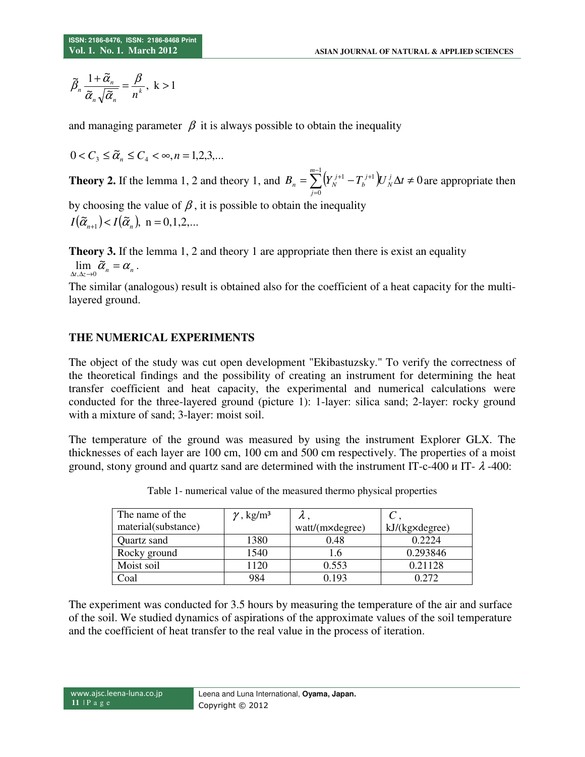$$
\widetilde{\beta}_n \frac{1 + \widetilde{\alpha}_n}{\widetilde{\alpha}_n \sqrt{\widetilde{\alpha}_n}} = \frac{\beta}{n^k}, \quad k > 1
$$

and managing parameter  $\beta$  it is always possible to obtain the inequality

$$
0 < C_{3} \leq \widetilde{\alpha}_{n} \leq C_{4} < \infty, n = 1, 2, 3, \dots
$$

**Theory 2.** If the lemma 1, 2 and theory 1, and  $B_n = \sum_{k=1}^{m-1} (Y_N^{j+1} - T_D^{j+1}) U_N^j \Delta t \neq 0$  $\boldsymbol{0}$  $=\sum^{m-1}\bigl(Y_{N}^{\; j+1}-T_{b}^{\; j+1}\bigr)U_{N}^{\; j}\Delta t\neq$ =  $\sum_{j+1}^{m-1} (i \nabla_j f +1 - \nabla_j f +1)$ *j j N j b*  $B_n = \sum (Y_N^{j+1} - T_b^{j+1}) U_N^j \Delta t \neq 0$  are appropriate then

by choosing the value of  $\beta$ , it is possible to obtain the inequality  $I(\tilde{\alpha}_{n+1}) < I(\tilde{\alpha}_{n}),$  n = 0,1,2,...

**Theory 3.** If the lemma 1, 2 and theory 1 are appropriate then there is exist an equality  $\lim_{\Delta t,\Delta z\to 0}\tilde{\alpha}_n=\alpha_n.$ 

The similar (analogous) result is obtained also for the coefficient of a heat capacity for the multilayered ground.

## **THE NUMERICAL EXPERIMENTS**

The object of the study was cut open development "Ekibastuzsky." To verify the correctness of the theoretical findings and the possibility of creating an instrument for determining the heat transfer coefficient and heat capacity, the experimental and numerical calculations were conducted for the three-layered ground (picture 1): 1-layer: silica sand; 2-layer: rocky ground with a mixture of sand; 3-layer: moist soil.

The temperature of the ground was measured by using the instrument Explorer GLX. The thicknesses of each layer are 100 сm, 100 сm and 500 сm respectively. The properties of a moist ground, stony ground and quartz sand are determined with the instrument IT-c-400  $\mu$  IT-  $\lambda$ -400:

| The name of the     | $\gamma$ , kg/m <sup>3</sup> | π.              |                         |
|---------------------|------------------------------|-----------------|-------------------------|
| material(substance) |                              | watt/(m×degree) | $kJ/(kg \times degree)$ |
| Quartz sand         | 1380                         | 0.48            | 0.2224                  |
| Rocky ground        | 1540                         | 1.6             | 0.293846                |
| Moist soil          | 1120                         | 0.553           | 0.21128                 |
| Coal                | 984                          | በ 193           | በ 272                   |

Table 1- numerical value of the measured thermo physical properties

The experiment was conducted for 3.5 hours by measuring the temperature of the air and surface of the soil. We studied dynamics of aspirations of the approximate values of the soil temperature and the coefficient of heat transfer to the real value in the process of iteration.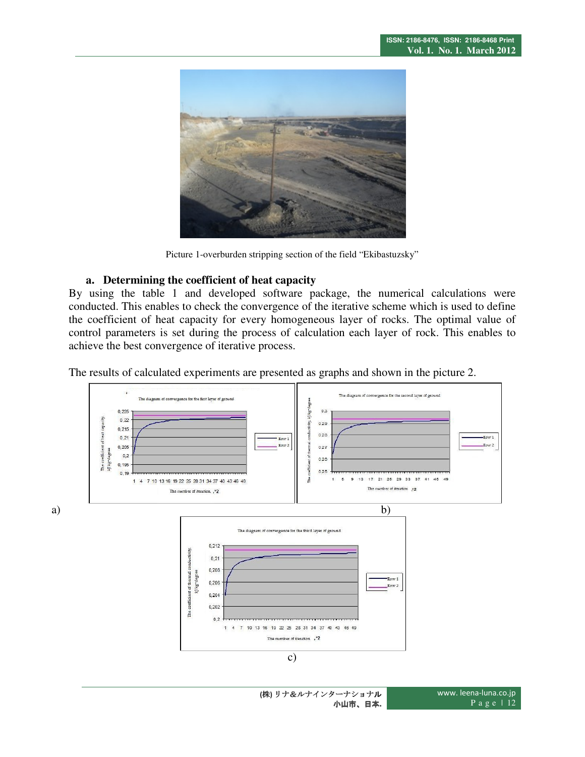

Picture 1-overburden stripping section of the field "Ekibastuzsky"

#### **a. Determining the coefficient of heat capacity**

By using the table 1 and developed software package, the numerical calculations were conducted. This enables to check the convergence of the iterative scheme which is used to define the coefficient of heat capacity for every homogeneous layer of rocks. The optimal value of control parameters is set during the process of calculation each layer of rock. This enables to achieve the best convergence of iterative process.

The results of calculated experiments are presented as graphs and shown in the picture 2.

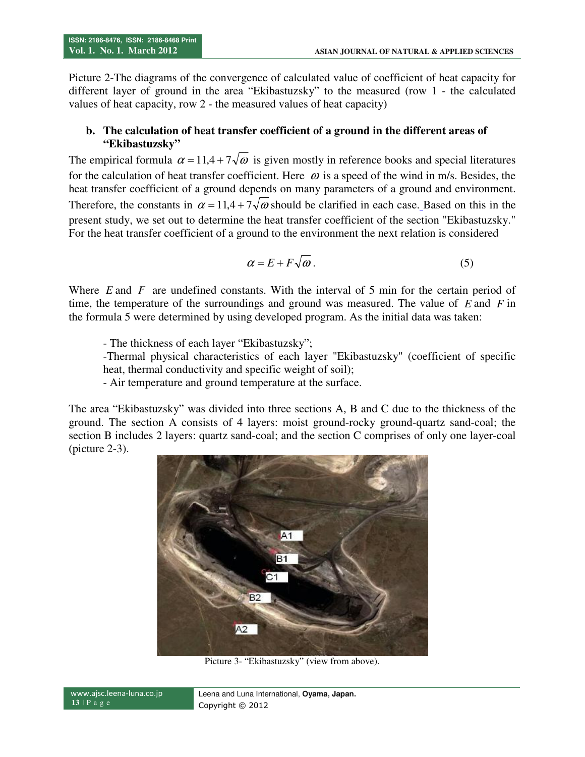Picture 2-The diagrams of the convergence of calculated value of coefficient of heat capacity for different layer of ground in the area "Ekibastuzsky" to the measured (row 1 - the calculated values of heat capacity, row 2 - the measured values of heat capacity)

## **b. The calculation of heat transfer coefficient of a ground in the different areas of "Ekibastuzsky"**

The empirical formula  $\alpha = 11.4 + 7\sqrt{\omega}$  is given mostly in reference books and special literatures for the calculation of heat transfer coefficient. Here  $\omega$  is a speed of the wind in m/s. Besides, the heat transfer coefficient of a ground depends on many parameters of a ground and environment. Therefore, the constants in  $\alpha = 11.4 + 7\sqrt{\omega}$  should be clarified in each case. Based on this in the present study, we set out to determine the heat transfer coefficient of the section "Ekibastuzsky." For the heat transfer coefficient of a ground to the environment the next relation is considered

$$
\alpha = E + F\sqrt{\omega} \,. \tag{5}
$$

Where *E* and *F* are undefined constants. With the interval of 5 min for the certain period of time, the temperature of the surroundings and ground was measured. The value of *E* and *F* in the formula 5 were determined by using developed program. As the initial data was taken:

- The thickness of each layer "Ekibastuzsky";

-Thermal physical characteristics of each layer "Ekibastuzsky" (coefficient of specific heat, thermal conductivity and specific weight of soil);

- Air temperature and ground temperature at the surface.

The area "Ekibastuzsky" was divided into three sections A, B and C due to the thickness of the ground. The section A consists of 4 layers: moist ground-rocky ground-quartz sand-coal; the section B includes 2 layers: quartz sand-coal; and the section C comprises of only one layer-coal (picture 2-3).



Picture 3- "Ekibastuzsky" (view from above).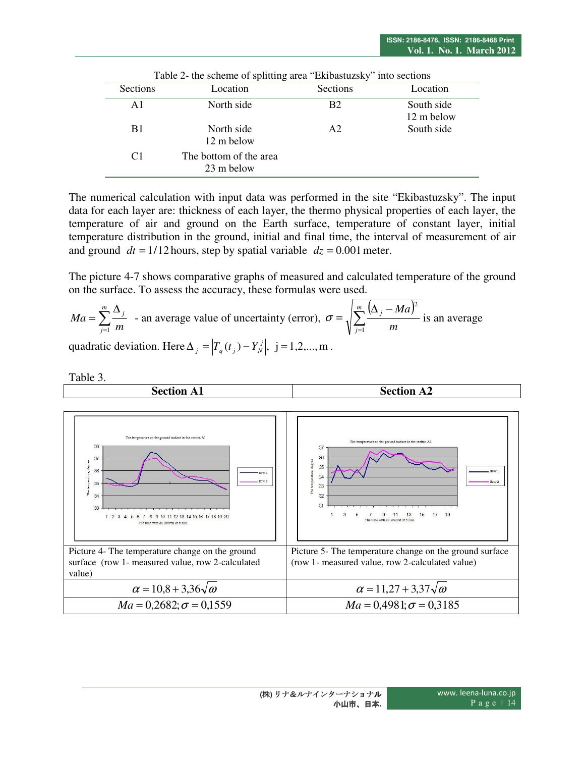| Sections       | Table 2- the scheme of splitting area "Ekibastuzsky" into sections<br>Location | Sections       | Location                 |
|----------------|--------------------------------------------------------------------------------|----------------|--------------------------|
| A <sub>1</sub> | North side                                                                     | B <sub>2</sub> | South side<br>12 m below |
| B1             | North side<br>12 m below                                                       | A <sub>2</sub> | South side               |
| C <sub>1</sub> | The bottom of the area<br>23 m below                                           |                |                          |

The numerical calculation with input data was performed in the site "Ekibastuzsky". The input data for each layer are: thickness of each layer, the thermo physical properties of each layer, the temperature of air and ground on the Earth surface, temperature of constant layer, initial temperature distribution in the ground, initial and final time, the interval of measurement of air and ground  $dt = 1/12$  hours, step by spatial variable  $dz = 0.001$  meter.

The picture 4-7 shows comparative graphs of measured and calculated temperature of the ground on the surface. To assess the accuracy, these formulas were used.

$$
Ma = \sum_{j=1}^{m} \frac{\Delta_j}{m}
$$
 - an average value of uncertainty (error),  $\sigma = \sqrt{\sum_{j=1}^{m} \frac{(\Delta_j - Ma)^2}{m}}$  is an average

quadratic deviation. Here  $\Delta_j = \left| T_q(t_j) - Y'_N \right|$ , j = 1,2,..., m.

Table 3.

**Section А1 Section А2**  .<br>The temperature on the ground surface in the section A 38 37 36 37  $35$ 36 Row 1  $34$  $Row<sub>2</sub>$  $35$  $33$ å  $32$  $\overline{34}$  $31$ 33  $\overline{3}$  $\overline{9}$  $11$  $13$ 15  $17$ 19 1 2 3 4 5 6 7 8 9 10 11 12 13 14 15 16 17 18 19 20 terval of 5 min Picture 4- The temperature change on the ground Picture 5- The temperature change on the ground surface surface (row 1- measured value, row 2-calculated (row 1- measured value, row 2-calculated value) value)  $\alpha = 10.8 + 3.36\sqrt{\omega}$   $\alpha = 11.27 + 3.37\sqrt{\omega}$  $Ma = 0,2682; \sigma = 0,1559$  *Ma* = 0,4981;  $\sigma = 0,3185$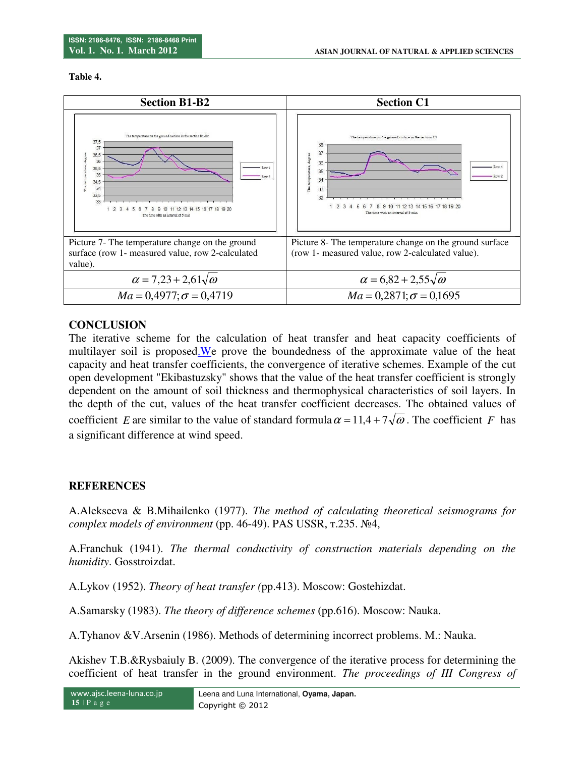**Table 4.** 



## **CONCLUSION**

The iterative scheme for the calculation of heat transfer and heat capacity coefficients of multilayer soil is proposed. We prove the boundedness of the approximate value of the heat capacity and heat transfer coefficients, the convergence of iterative schemes. Example of the cut open development "Ekibastuzsky" shows that the value of the heat transfer coefficient is strongly dependent on the amount of soil thickness and thermophysical characteristics of soil layers. In the depth of the cut, values of the heat transfer coefficient decreases. The obtained values of coefficient *E* are similar to the value of standard formula  $\alpha = 11.4 + 7\sqrt{\omega}$ . The coefficient *F* has a significant difference at wind speed.

## **REFERENCES**

A.Alekseeva & B.Mihailenko (1977). *The method of calculating theoretical seismograms for complex models of environment* (pp. 46-49). PAS USSR, т.235. №4,

A.Franchuk (1941). *The thermal conductivity of construction materials depending on the humidity*. Gosstroizdat.

A.Lykov (1952). *Theory of heat transfer (*pp.413). Мoscow: Gostehizdat.

A.Samarsky (1983). *The theory of difference schemes* (pp.616). Moscow: Nauka.

A.Tyhanov &V.Arsenin (1986). Methods of determining incorrect problems. М.: Nauka.

Akishev T.B.&Rysbaiuly B. (2009). The convergence of the iterative process for determining the coefficient of heat transfer in the ground environment. *Тhe proceedings of III Congress of*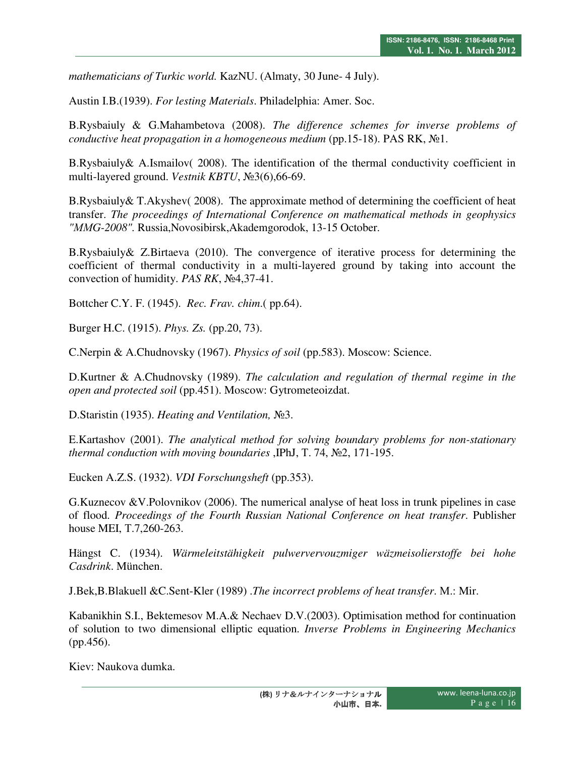*mathematicians of Turkic world.* KazNU. (Almaty, 30 June- 4 July).

Austin I.B.(1939). *For lesting Materials*. Philadelphia: Amer. Soc.

B.Rysbaiuly & G.Mahambetova (2008). *The difference schemes for inverse problems of conductive heat propagation in a homogeneous medium* (pp.15-18). PAS RK, №1.

B.Rysbaiuly& A.Ismailov( 2008). The identification of the thermal conductivity coefficient in multi-layered ground. *Vestnik KBTU*, №3(6),66-69.

B.Rysbaiuly& T.Akyshev( 2008). The approximate method of determining the coefficient of heat transfer. *The proceedings of International Conference on mathematical methods in geophysics "ММG-2008".* Russia,Novosibirsk,Akademgorodok, 13-15 October.

B.Rysbaiuly& Z.Birtaeva (2010). The convergence of iterative process for determining the coefficient of thermal conductivity in a multi-layered ground by taking into account the convection of humidity. *PAS RK*, №4,37-41.

Bottcher C.Y. F. (1945). *Rec. Frav. chim*.( pp.64).

Burger H.C. (1915). *Phys. Zs.* (pp.20, 73).

C.Nerpin & A.Chudnovsky (1967). *Physics of soil* (pp.583). Moscow: Science.

D.Kurtner & A.Chudnovsky (1989). *The calculation and regulation of thermal regime in the open and protected soil* (pp.451). Moscow: Gytrometeoizdat.

D.Staristin (1935). *Heating and Ventilation,* №3.

E.Kartashov (2001). *The analytical method for solving boundary problems for non-stationary thermal conduction with moving boundaries* ,IPhJ, Т. 74, №2, 171-195.

Eucken A.Z.S. (1932). *VDI Forschungsheft* (pp.353).

G.Kuznecov &V.Polovnikov (2006). The numerical analyse of heat loss in trunk pipelines in case of flood. *Proceedings of the Fourth Russian National Conference on heat transfer*. Publisher house MEI, Т.7,260-263.

Hängst C. (1934). *Wärmeleitstähigkeit pulwervervouzmiger wäzmeisolierstoffe bei hohe Casdrink*. München.

J.Bek,B.Blakuell &C.Sent-Kler (1989) .*The incorrect problems of heat transfer*. М.: Mir.

Kabanikhin S.I., Bektemesov M.A.& Nechaev D.V.(2003). Optimisation method for continuation of solution to two dimensional elliptic equation. *Inverse Problems in Engineering Mechanics* (pp.456).

Kiev: Naukova dumka.